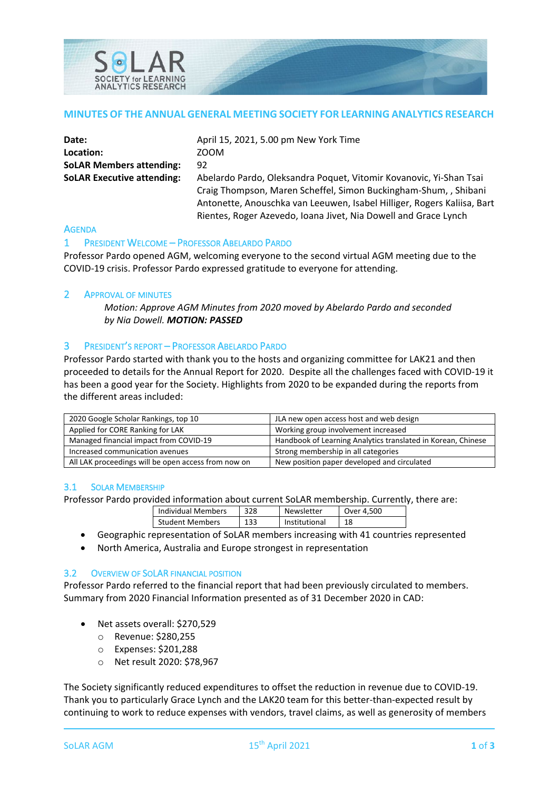

#### **MINUTES OF THE ANNUAL GENERAL MEETING SOCIETY FOR LEARNING ANALYTICS RESEARCH**

| Date:                             | April 15, 2021, 5.00 pm New York Time                                   |
|-----------------------------------|-------------------------------------------------------------------------|
| Location:                         | ZOOM                                                                    |
| <b>SoLAR Members attending:</b>   | 92                                                                      |
| <b>SoLAR Executive attending:</b> | Abelardo Pardo, Oleksandra Poquet, Vitomir Kovanovic, Yi-Shan Tsai      |
|                                   | Craig Thompson, Maren Scheffel, Simon Buckingham-Shum, , Shibani        |
|                                   | Antonette, Anouschka van Leeuwen, Isabel Hilliger, Rogers Kaliisa, Bart |
|                                   | Rientes, Roger Azevedo, Ioana Jivet, Nia Dowell and Grace Lynch         |

#### **AGENDA**

#### 1 PRESIDENT WELCOME – PROFESSOR ABELARDO PARDO

Professor Pardo opened AGM, welcoming everyone to the second virtual AGM meeting due to the COVID-19 crisis. Professor Pardo expressed gratitude to everyone for attending.

#### 2 APPROVAL OF MINUTES

*Motion: Approve AGM Minutes from 2020 moved by Abelardo Pardo and seconded by Nia Dowell. MOTION: PASSED*

#### 3 PRESIDENT'S REPORT – PROFESSOR ABELARDO PARDO

Professor Pardo started with thank you to the hosts and organizing committee for LAK21 and then proceeded to details for the Annual Report for 2020. Despite all the challenges faced with COVID-19 it has been a good year for the Society. Highlights from 2020 to be expanded during the reports from the different areas included:

| 2020 Google Scholar Rankings, top 10                | JLA new open access host and web design                      |  |
|-----------------------------------------------------|--------------------------------------------------------------|--|
| Applied for CORE Ranking for LAK                    | Working group involvement increased                          |  |
| Managed financial impact from COVID-19              | Handbook of Learning Analytics translated in Korean, Chinese |  |
| Increased communication avenues                     | Strong membership in all categories                          |  |
| All LAK proceedings will be open access from now on | New position paper developed and circulated                  |  |

#### 3.1 SOLAR MEMBERSHIP

Professor Pardo provided information about current SoLAR membership. Currently, there are:

| Individual Members | 328 | Newsletter    | Over 4.500 |
|--------------------|-----|---------------|------------|
| Student Members    | 133 | Institutional | 18         |

- Geographic representation of SoLAR members increasing with 41 countries represented
- North America, Australia and Europe strongest in representation

### 3.2 OVERVIEW OF SOLAR FINANCIAL POSITION

Professor Pardo referred to the financial report that had been previously circulated to members. Summary from 2020 Financial Information presented as of 31 December 2020 in CAD:

- Net assets overall: \$270,529
	- o Revenue: \$280,255
	- o Expenses: \$201,288
	- o Net result 2020: \$78,967

The Society significantly reduced expenditures to offset the reduction in revenue due to COVID-19. Thank you to particularly Grace Lynch and the LAK20 team for this better-than-expected result by continuing to work to reduce expenses with vendors, travel claims, as well as generosity of members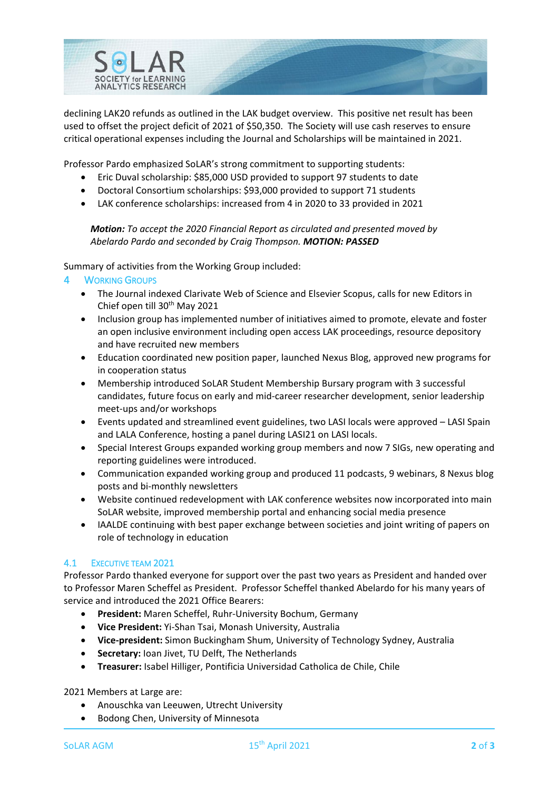

declining LAK20 refunds as outlined in the LAK budget overview. This positive net result has been used to offset the project deficit of 2021 of \$50,350. The Society will use cash reserves to ensure critical operational expenses including the Journal and Scholarships will be maintained in 2021.

Professor Pardo emphasized SoLAR's strong commitment to supporting students:

- Eric Duval scholarship: \$85,000 USD provided to support 97 students to date
- Doctoral Consortium scholarships: \$93,000 provided to support 71 students
- LAK conference scholarships: increased from 4 in 2020 to 33 provided in 2021

### *Motion: To accept the 2020 Financial Report as circulated and presented moved by Abelardo Pardo and seconded by Craig Thompson. MOTION: PASSED*

Summary of activities from the Working Group included:

# **WORKING GROUPS**

- The Journal indexed Clarivate Web of Science and Elsevier Scopus, calls for new Editors in Chief open till 30<sup>th</sup> May 2021
- Inclusion group has implemented number of initiatives aimed to promote, elevate and foster an open inclusive environment including open access LAK proceedings, resource depository and have recruited new members
- Education coordinated new position paper, launched Nexus Blog, approved new programs for in cooperation status
- Membership introduced SoLAR Student Membership Bursary program with 3 successful candidates, future focus on early and mid-career researcher development, senior leadership meet-ups and/or workshops
- Events updated and streamlined event guidelines, two LASI locals were approved LASI Spain and LALA Conference, hosting a panel during LASI21 on LASI locals.
- Special Interest Groups expanded working group members and now 7 SIGs, new operating and reporting guidelines were introduced.
- Communication expanded working group and produced 11 podcasts, 9 webinars, 8 Nexus blog posts and bi-monthly newsletters
- Website continued redevelopment with LAK conference websites now incorporated into main SoLAR website, improved membership portal and enhancing social media presence
- IAALDE continuing with best paper exchange between societies and joint writing of papers on role of technology in education

# 4.1 EXECUTIVE TEAM 2021

Professor Pardo thanked everyone for support over the past two years as President and handed over to Professor Maren Scheffel as President. Professor Scheffel thanked Abelardo for his many years of service and introduced the 2021 Office Bearers:

- **President:** Maren Scheffel, Ruhr-University Bochum, Germany
- **Vice President:** Yi-Shan Tsai, Monash University, Australia
- **Vice-president:** Simon Buckingham Shum, University of Technology Sydney, Australia
- **Secretary:** Ioan Jivet, TU Delft, The Netherlands
- **Treasurer:** Isabel Hilliger, Pontificia Universidad Catholica de Chile, Chile

2021 Members at Large are:

- Anouschka van Leeuwen, Utrecht University
- Bodong Chen, University of Minnesota